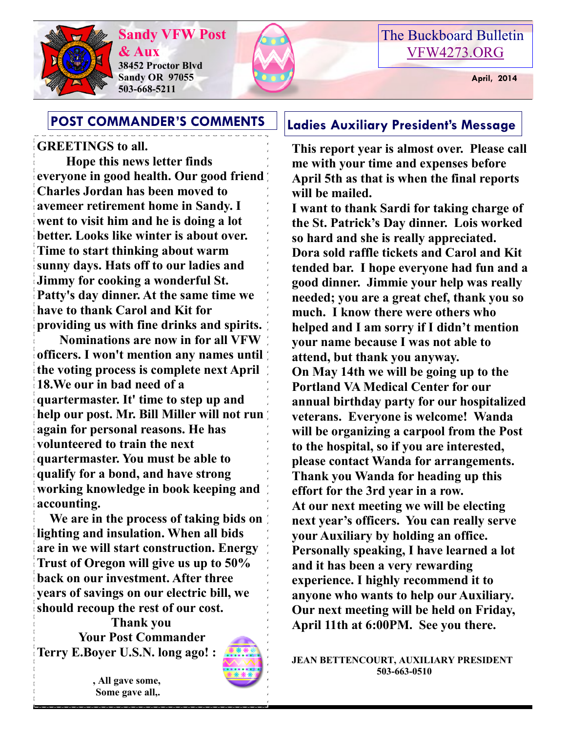

**Sandy VFW Post & Aux 38452 Proctor Blvd Sandy OR 97055 503-668-5211**





## **GREETINGS to all.**

 **Hope this news letter finds everyone in good health. Our good friend Charles Jordan has been moved to avemeer retirement home in Sandy. I went to visit him and he is doing a lot better. Looks like winter is about over. Time to start thinking about warm sunny days. Hats off to our ladies and Jimmy for cooking a wonderful St. Patty's day dinner. At the same time we have to thank Carol and Kit for providing us with fine drinks and spirits.** 

 **Nominations are now in for all VFW officers. I won't mention any names until the voting process is complete next April 18.We our in bad need of a quartermaster. It' time to step up and help our post. Mr. Bill Miller will not run again for personal reasons. He has volunteered to train the next quartermaster. You must be able to qualify for a bond, and have strong working knowledge in book keeping and accounting.** 

 **We are in the process of taking bids on lighting and insulation. When all bids are in we will start construction. Energy Trust of Oregon will give us up to 50% back on our investment. After three years of savings on our electric bill, we should recoup the rest of our cost. Thank you**

 **Your Post Commander Terry E.Boyer U.S.N. long ago! :**



**POST COMMANDER'S COMMENTS Ladies Auxiliary President's Message**

**This report year is almost over. Please call me with your time and expenses before April 5th as that is when the final reports will be mailed.**

**I want to thank Sardi for taking charge of the St. Patrick's Day dinner. Lois worked so hard and she is really appreciated. Dora sold raffle tickets and Carol and Kit tended bar. I hope everyone had fun and a good dinner. Jimmie your help was really needed; you are a great chef, thank you so much. I know there were others who helped and I am sorry if I didn't mention your name because I was not able to attend, but thank you anyway. On May 14th we will be going up to the Portland VA Medical Center for our annual birthday party for our hospitalized veterans. Everyone is welcome! Wanda will be organizing a carpool from the Post to the hospital, so if you are interested, please contact Wanda for arrangements. Thank you Wanda for heading up this effort for the 3rd year in a row. At our next meeting we will be electing next year's officers. You can really serve your Auxiliary by holding an office. Personally speaking, I have learned a lot and it has been a very rewarding experience. I highly recommend it to anyone who wants to help our Auxiliary. Our next meeting will be held on Friday, April 11th at 6:00PM. See you there.**

**JEAN BETTENCOURT, AUXILIARY PRESIDENT 503-663-0510**

**, All gave some, Some gave all,.**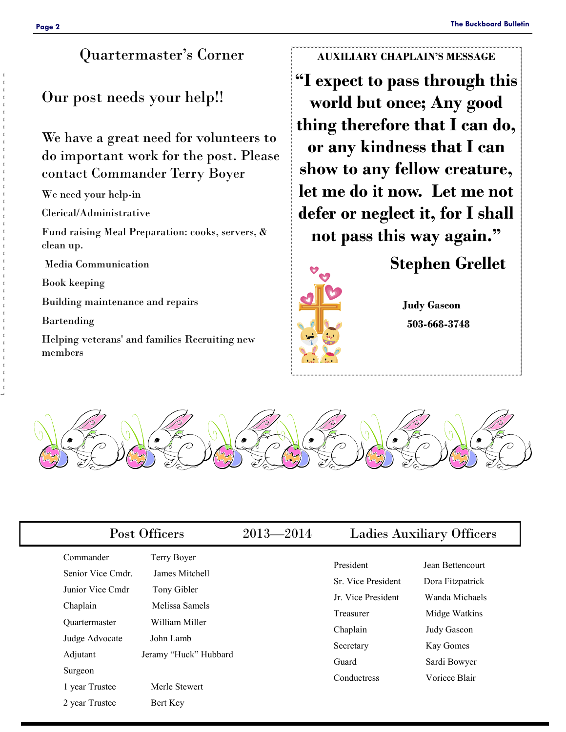## Quartermaster's Corner

## Our post needs your help!!

We have a great need for volunteers to do important work for the post. Please contact Commander Terry Boyer

We need your help-in

Clerical/Administrative

Fund raising Meal Preparation: cooks, servers, & clean up.

Media Communication

Book keeping

Building maintenance and repairs

Bartending

Helping veterans' and families Recruiting new members

### **AUXILIARY CHAPLAIN'S MESSAGE**

**"I expect to pass through this world but once; Any good thing therefore that I can do, or any kindness that I can show to any fellow creature, let me do it now. Let me not defer or neglect it, for I shall not pass this way again."**



**Stephen Grellet**

**Judy Gascon 503-668-3748**



|                                                                                 | Post Officers                                                                    |  | <b>Ladies Auxiliary Officers</b>                                               |                                                                                        |  |
|---------------------------------------------------------------------------------|----------------------------------------------------------------------------------|--|--------------------------------------------------------------------------------|----------------------------------------------------------------------------------------|--|
| Commander<br>Senior Vice Cmdr.<br>Junior Vice Cmdr<br>Chaplain<br>Quartermaster | Terry Boyer<br>James Mitchell<br>Tony Gibler<br>Melissa Samels<br>William Miller |  | President<br>Sr. Vice President<br>Jr. Vice President<br>Treasurer<br>Chaplain | Jean Bettencourt<br>Dora Fitzpatrick<br>Wanda Michaels<br>Midge Watkins<br>Judy Gascon |  |
| Judge Advocate<br>Adjutant<br>Surgeon<br>1 year Trustee                         | John Lamb<br>Jeramy "Huck" Hubbard<br>Merle Stewert                              |  | Secretary<br>Guard<br>Conductress                                              | Kay Gomes<br>Sardi Bowyer<br>Voriece Blair                                             |  |
| 2 year Trustee                                                                  | Bert Key                                                                         |  |                                                                                |                                                                                        |  |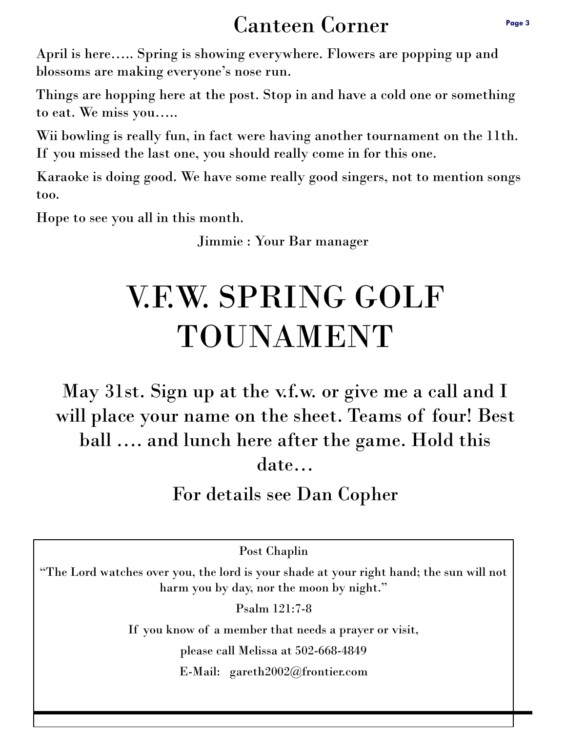## Canteen Corner

April is here….. Spring is showing everywhere. Flowers are popping up and blossoms are making everyone's nose run.

Things are hopping here at the post. Stop in and have a cold one or something to eat. We miss you…..

Wii bowling is really fun, in fact were having another tournament on the 11th. If you missed the last one, you should really come in for this one.

Karaoke is doing good. We have some really good singers, not to mention songs too.

Hope to see you all in this month.

Jimmie : Your Bar manager

# V.F.W. SPRING GOLF TOUNAMENT

May 31st. Sign up at the v.f.w. or give me a call and I will place your name on the sheet. Teams of four! Best ball …. and lunch here after the game. Hold this date…

For details see Dan Copher

Post Chaplin

"The Lord watches over you, the lord is your shade at your right hand; the sun will not harm you by day, nor the moon by night."

Psalm 121:7-8

If you know of a member that needs a prayer or visit,

please call Melissa at 502-668-4849

E-Mail: gareth2002@frontier.com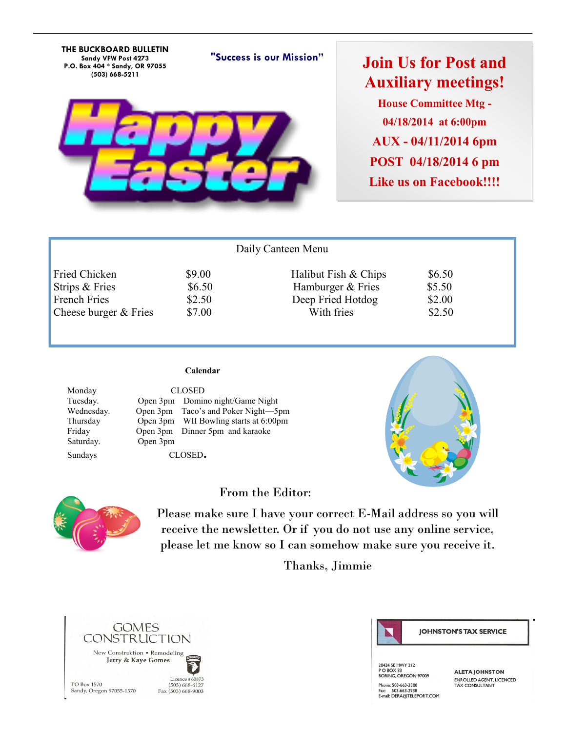**THE BUCKBOARD BULLETIN Sandy VFW Post 4273 P.O. Box 404 \* Sandy, OR 97055 (503) 668-5211**

## **Join Us for Post and Auxiliary meetings! House Committee Mtg - 04/18/2014 at 6:00pm AUX - 04/11/2014 6pm POST 04/18/2014 6 pm Like us on Facebook!!!!**

| Daily Canteen Menu    |        |                      |        |  |  |  |  |  |
|-----------------------|--------|----------------------|--------|--|--|--|--|--|
| <b>Fried Chicken</b>  | \$9.00 | Halibut Fish & Chips | \$6.50 |  |  |  |  |  |
| Strips & Fries        | \$6.50 | Hamburger & Fries    | \$5.50 |  |  |  |  |  |
| French Fries          | \$2.50 | Deep Fried Hotdog    | \$2.00 |  |  |  |  |  |
| Cheese burger & Fries | \$7.00 | With fries           | \$2.50 |  |  |  |  |  |
|                       |        |                      |        |  |  |  |  |  |

**"Success is our Mission"**

### **Calendar**

Saturday. Open 3pm

Monday CLOSED Tuesday. Open 3pm Domino night/Game Night Wednesday. Open 3pm Taco's and Poker Night—5pm Thursday Open 3pm WII Bowling starts at 6:00pm<br>Friday Open 3pm Dinner 5pm and karaoke Open 3pm Dinner 5pm and karaoke Sundays CLOSED**.** 

### From the Editor:



Please make sure I have your correct E-Mail address so you will receive the newsletter. Or if you do not use any online service, please let me know so I can somehow make sure you receive it.

Thanks, Jimmie





**JOHNSTON'S TAX SERVICE** 

28424 SE HWY 212 PO BOX 33<br>BORING, OREGON 97009 Phone: 503-663-3308 Fridrie: 303-883-3308<br>Fax: 503-663-2938<br>E-mail: DERA@TELEPORT.COM

**ALETA JOHNSTON** ENROLLED AGENT LICENCED TAX CONSULTANT